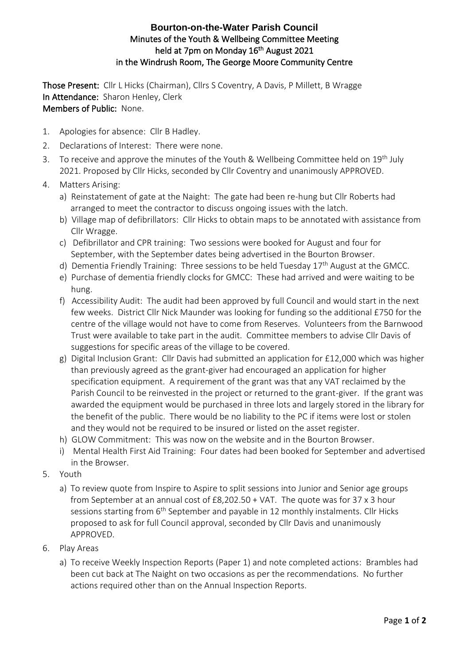## **Bourton-on-the-Water Parish Council** Minutes of the Youth & Wellbeing Committee Meeting held at 7pm on Monday 16<sup>th</sup> August 2021 in the Windrush Room, The George Moore Community Centre

Those Present: Cllr L Hicks (Chairman), Cllrs S Coventry, A Davis, P Millett, B Wragge In Attendance: Sharon Henley, Clerk Members of Public: None.

- 1. Apologies for absence: Cllr B Hadley.
- 2. Declarations of Interest: There were none.
- 3. To receive and approve the minutes of the Youth & Wellbeing Committee held on  $19<sup>th</sup>$  July 2021. Proposed by Cllr Hicks, seconded by Cllr Coventry and unanimously APPROVED.
- 4. Matters Arising:
	- a) Reinstatement of gate at the Naight: The gate had been re-hung but Cllr Roberts had arranged to meet the contractor to discuss ongoing issues with the latch.
	- b) Village map of defibrillators: Cllr Hicks to obtain maps to be annotated with assistance from Cllr Wragge.
	- c) Defibrillator and CPR training: Two sessions were booked for August and four for September, with the September dates being advertised in the Bourton Browser.
	- d) Dementia Friendly Training: Three sessions to be held Tuesday  $17<sup>th</sup>$  August at the GMCC.
	- e) Purchase of dementia friendly clocks for GMCC: These had arrived and were waiting to be hung.
	- f) Accessibility Audit: The audit had been approved by full Council and would start in the next few weeks. District Cllr Nick Maunder was looking for funding so the additional £750 for the centre of the village would not have to come from Reserves. Volunteers from the Barnwood Trust were available to take part in the audit. Committee members to advise Cllr Davis of suggestions for specific areas of the village to be covered.
	- g) Digital Inclusion Grant: Cllr Davis had submitted an application for £12,000 which was higher than previously agreed as the grant-giver had encouraged an application for higher specification equipment. A requirement of the grant was that any VAT reclaimed by the Parish Council to be reinvested in the project or returned to the grant-giver. If the grant was awarded the equipment would be purchased in three lots and largely stored in the library for the benefit of the public. There would be no liability to the PC if items were lost or stolen and they would not be required to be insured or listed on the asset register.
	- h) GLOW Commitment: This was now on the website and in the Bourton Browser.
	- i) Mental Health First Aid Training: Four dates had been booked for September and advertised in the Browser.
- 5. Youth
	- a) To review quote from Inspire to Aspire to split sessions into Junior and Senior age groups from September at an annual cost of £8,202.50 + VAT. The quote was for 37 x 3 hour sessions starting from 6<sup>th</sup> September and payable in 12 monthly instalments. Cllr Hicks proposed to ask for full Council approval, seconded by Cllr Davis and unanimously APPROVED.
- 6. Play Areas
	- a) To receive Weekly Inspection Reports (Paper 1) and note completed actions: Brambles had been cut back at The Naight on two occasions as per the recommendations. No further actions required other than on the Annual Inspection Reports.